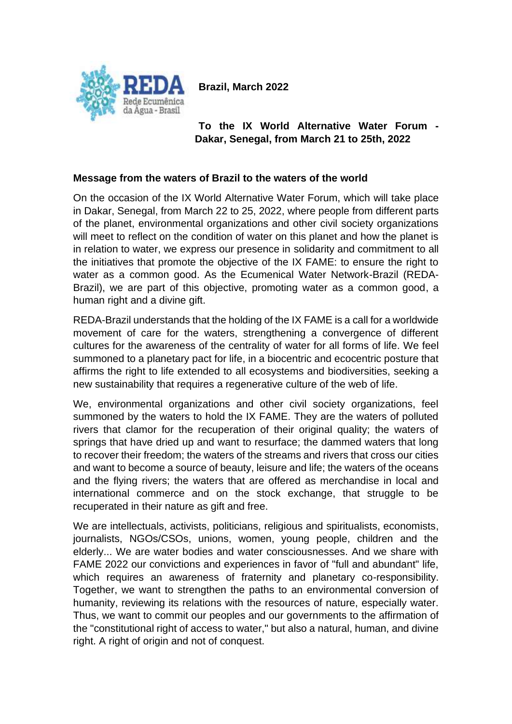**Brazil, March 2022**



**To the IX World Alternative Water Forum - Dakar, Senegal, from March 21 to 25th, 2022**

# **Message from the waters of Brazil to the waters of the world**

On the occasion of the IX World Alternative Water Forum, which will take place in Dakar, Senegal, from March 22 to 25, 2022, where people from different parts of the planet, environmental organizations and other civil society organizations will meet to reflect on the condition of water on this planet and how the planet is in relation to water, we express our presence in solidarity and commitment to all the initiatives that promote the objective of the IX FAME: to ensure the right to water as a common good. As the Ecumenical Water Network-Brazil (REDA-Brazil), we are part of this objective, promoting water as a common good, a human right and a divine gift.

REDA-Brazil understands that the holding of the IX FAME is a call for a worldwide movement of care for the waters, strengthening a convergence of different cultures for the awareness of the centrality of water for all forms of life. We feel summoned to a planetary pact for life, in a biocentric and ecocentric posture that affirms the right to life extended to all ecosystems and biodiversities, seeking a new sustainability that requires a regenerative culture of the web of life.

We, environmental organizations and other civil society organizations, feel summoned by the waters to hold the IX FAME. They are the waters of polluted rivers that clamor for the recuperation of their original quality; the waters of springs that have dried up and want to resurface; the dammed waters that long to recover their freedom; the waters of the streams and rivers that cross our cities and want to become a source of beauty, leisure and life; the waters of the oceans and the flying rivers; the waters that are offered as merchandise in local and international commerce and on the stock exchange, that struggle to be recuperated in their nature as gift and free.

We are intellectuals, activists, politicians, religious and spiritualists, economists, journalists, NGOs/CSOs, unions, women, young people, children and the elderly... We are water bodies and water consciousnesses. And we share with FAME 2022 our convictions and experiences in favor of "full and abundant" life, which requires an awareness of fraternity and planetary co-responsibility. Together, we want to strengthen the paths to an environmental conversion of humanity, reviewing its relations with the resources of nature, especially water. Thus, we want to commit our peoples and our governments to the affirmation of the "constitutional right of access to water," but also a natural, human, and divine right. A right of origin and not of conquest.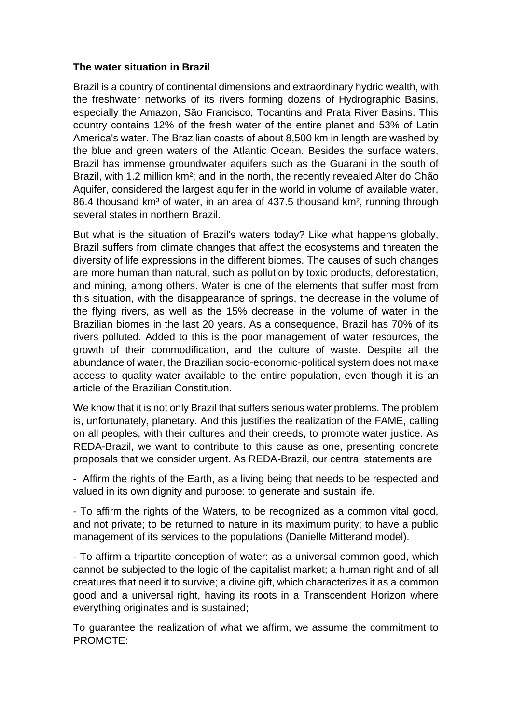# **The water situation in Brazil**

Brazil is a country of continental dimensions and extraordinary hydric wealth, with the freshwater networks of its rivers forming dozens of Hydrographic Basins, especially the Amazon, São Francisco, Tocantins and Prata River Basins. This country contains 12% of the fresh water of the entire planet and 53% of Latin America's water. The Brazilian coasts of about 8,500 km in length are washed by the blue and green waters of the Atlantic Ocean. Besides the surface waters, Brazil has immense groundwater aquifers such as the Guarani in the south of Brazil, with 1.2 million km²; and in the north, the recently revealed Alter do Chão Aquifer, considered the largest aquifer in the world in volume of available water, 86.4 thousand km<sup>3</sup> of water, in an area of 437.5 thousand km<sup>2</sup>, running through several states in northern Brazil.

But what is the situation of Brazil's waters today? Like what happens globally, Brazil suffers from climate changes that affect the ecosystems and threaten the diversity of life expressions in the different biomes. The causes of such changes are more human than natural, such as pollution by toxic products, deforestation, and mining, among others. Water is one of the elements that suffer most from this situation, with the disappearance of springs, the decrease in the volume of the flying rivers, as well as the 15% decrease in the volume of water in the Brazilian biomes in the last 20 years. As a consequence, Brazil has 70% of its rivers polluted. Added to this is the poor management of water resources, the growth of their commodification, and the culture of waste. Despite all the abundance of water, the Brazilian socio-economic-political system does not make access to quality water available to the entire population, even though it is an article of the Brazilian Constitution.

We know that it is not only Brazil that suffers serious water problems. The problem is, unfortunately, planetary. And this justifies the realization of the FAME, calling on all peoples, with their cultures and their creeds, to promote water justice. As REDA-Brazil, we want to contribute to this cause as one, presenting concrete proposals that we consider urgent. As REDA-Brazil, our central statements are

- Affirm the rights of the Earth, as a living being that needs to be respected and valued in its own dignity and purpose: to generate and sustain life.

- To affirm the rights of the Waters, to be recognized as a common vital good, and not private; to be returned to nature in its maximum purity; to have a public management of its services to the populations (Danielle Mitterand model).

- To affirm a tripartite conception of water: as a universal common good, which cannot be subjected to the logic of the capitalist market; a human right and of all creatures that need it to survive; a divine gift, which characterizes it as a common good and a universal right, having its roots in a Transcendent Horizon where everything originates and is sustained;

To guarantee the realization of what we affirm, we assume the commitment to PROMOTE: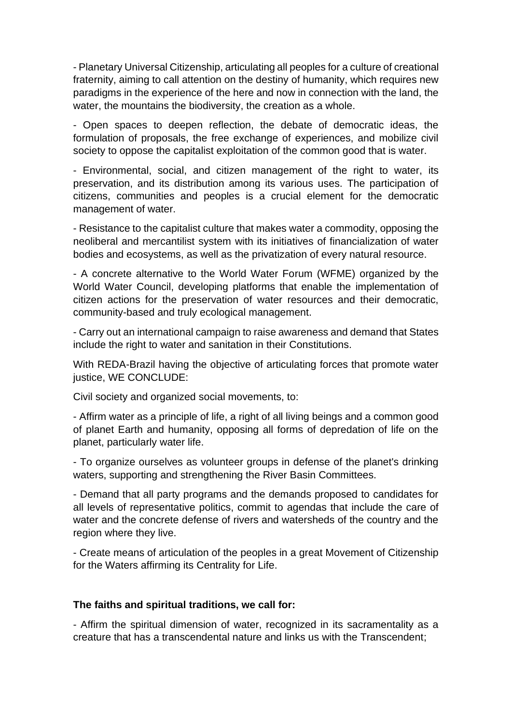- Planetary Universal Citizenship, articulating all peoples for a culture of creational fraternity, aiming to call attention on the destiny of humanity, which requires new paradigms in the experience of the here and now in connection with the land, the water, the mountains the biodiversity, the creation as a whole.

- Open spaces to deepen reflection, the debate of democratic ideas, the formulation of proposals, the free exchange of experiences, and mobilize civil society to oppose the capitalist exploitation of the common good that is water.

- Environmental, social, and citizen management of the right to water, its preservation, and its distribution among its various uses. The participation of citizens, communities and peoples is a crucial element for the democratic management of water.

- Resistance to the capitalist culture that makes water a commodity, opposing the neoliberal and mercantilist system with its initiatives of financialization of water bodies and ecosystems, as well as the privatization of every natural resource.

- A concrete alternative to the World Water Forum (WFME) organized by the World Water Council, developing platforms that enable the implementation of citizen actions for the preservation of water resources and their democratic, community-based and truly ecological management.

- Carry out an international campaign to raise awareness and demand that States include the right to water and sanitation in their Constitutions.

With REDA-Brazil having the objective of articulating forces that promote water justice, WE CONCLUDE:

Civil society and organized social movements, to:

- Affirm water as a principle of life, a right of all living beings and a common good of planet Earth and humanity, opposing all forms of depredation of life on the planet, particularly water life.

- To organize ourselves as volunteer groups in defense of the planet's drinking waters, supporting and strengthening the River Basin Committees.

- Demand that all party programs and the demands proposed to candidates for all levels of representative politics, commit to agendas that include the care of water and the concrete defense of rivers and watersheds of the country and the region where they live.

- Create means of articulation of the peoples in a great Movement of Citizenship for the Waters affirming its Centrality for Life.

### **The faiths and spiritual traditions, we call for:**

- Affirm the spiritual dimension of water, recognized in its sacramentality as a creature that has a transcendental nature and links us with the Transcendent;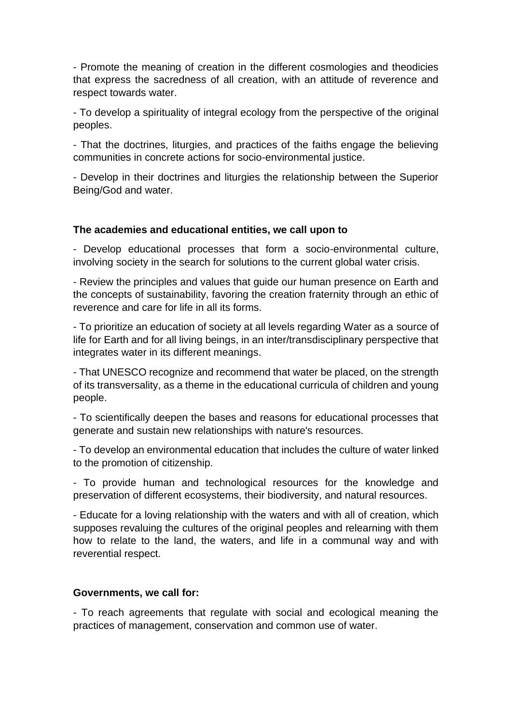- Promote the meaning of creation in the different cosmologies and theodicies that express the sacredness of all creation, with an attitude of reverence and respect towards water.

- To develop a spirituality of integral ecology from the perspective of the original peoples.

- That the doctrines, liturgies, and practices of the faiths engage the believing communities in concrete actions for socio-environmental justice.

- Develop in their doctrines and liturgies the relationship between the Superior Being/God and water.

# **The academies and educational entities, we call upon to**

- Develop educational processes that form a socio-environmental culture, involving society in the search for solutions to the current global water crisis.

- Review the principles and values that guide our human presence on Earth and the concepts of sustainability, favoring the creation fraternity through an ethic of reverence and care for life in all its forms.

- To prioritize an education of society at all levels regarding Water as a source of life for Earth and for all living beings, in an inter/transdisciplinary perspective that integrates water in its different meanings.

- That UNESCO recognize and recommend that water be placed, on the strength of its transversality, as a theme in the educational curricula of children and young people.

- To scientifically deepen the bases and reasons for educational processes that generate and sustain new relationships with nature's resources.

- To develop an environmental education that includes the culture of water linked to the promotion of citizenship.

- To provide human and technological resources for the knowledge and preservation of different ecosystems, their biodiversity, and natural resources.

- Educate for a loving relationship with the waters and with all of creation, which supposes revaluing the cultures of the original peoples and relearning with them how to relate to the land, the waters, and life in a communal way and with reverential respect.

### **Governments, we call for:**

- To reach agreements that regulate with social and ecological meaning the practices of management, conservation and common use of water.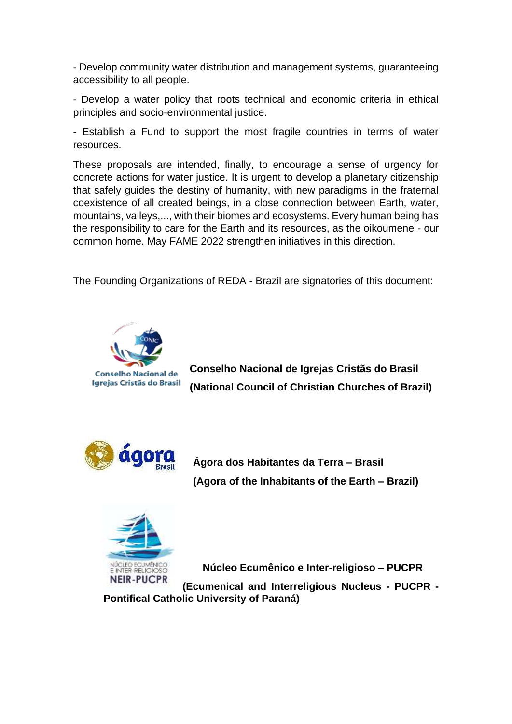- Develop community water distribution and management systems, guaranteeing accessibility to all people.

- Develop a water policy that roots technical and economic criteria in ethical principles and socio-environmental justice.

- Establish a Fund to support the most fragile countries in terms of water resources.

These proposals are intended, finally, to encourage a sense of urgency for concrete actions for water justice. It is urgent to develop a planetary citizenship that safely guides the destiny of humanity, with new paradigms in the fraternal coexistence of all created beings, in a close connection between Earth, water, mountains, valleys,..., with their biomes and ecosystems. Every human being has the responsibility to care for the Earth and its resources, as the oikoumene - our common home. May FAME 2022 strengthen initiatives in this direction.

The Founding Organizations of REDA - Brazil are signatories of this document:



**Conselho Nacional de Igrejas Cristãs do Brasil (National Council of Christian Churches of Brazil)**



**Ágora dos Habitantes da Terra – Brasil (Agora of the Inhabitants of the Earth – Brazil)**



 **Núcleo Ecumênico e Inter-religioso – PUCPR**

**(Ecumenical and Interreligious Nucleus - PUCPR - Pontifical Catholic University of Paraná)**